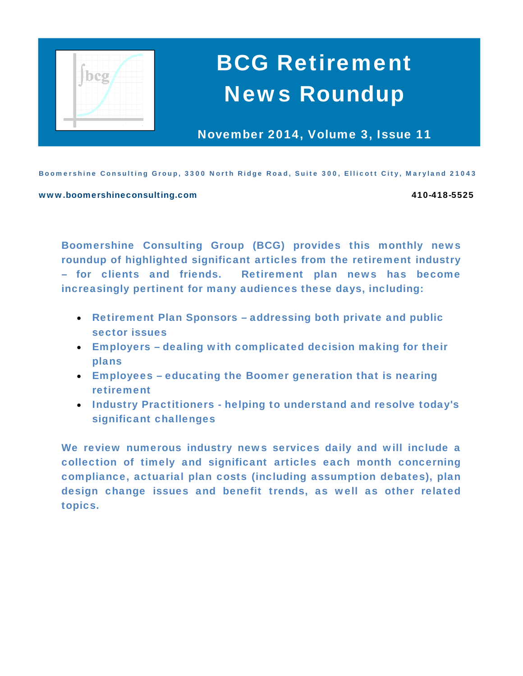

# BCG Retirement News Roundup

November 2014, Volume 3, Issue 11

Boomershine Consulting Group, 3300 North Ridge Road, Suite 300, Ellicott City, Maryland 21043

#### www.boomershineconsulting.com 410-418-5525

Boomershine Consulting Group (BCG) provides this monthly news roundup of highlighted significant articles from the retirement industry – for clients and friends. Retirement plan news has become increasingly pertinent for many audiences these days, including:

- Retirement Plan Sponsors addressing both private and public sector issues
- Employers dealing with complicated decision making for their plans
- Employees educating the Boomer generation that is nearing retirement
- Industry Practitioners helping to understand and resolve today's significant challenges

We review numerous industry news services daily and will include a collection of timely and significant articles each month concerning compliance, actuarial plan costs (including assumption debates), plan design change issues and benefit trends, as well as other related topics.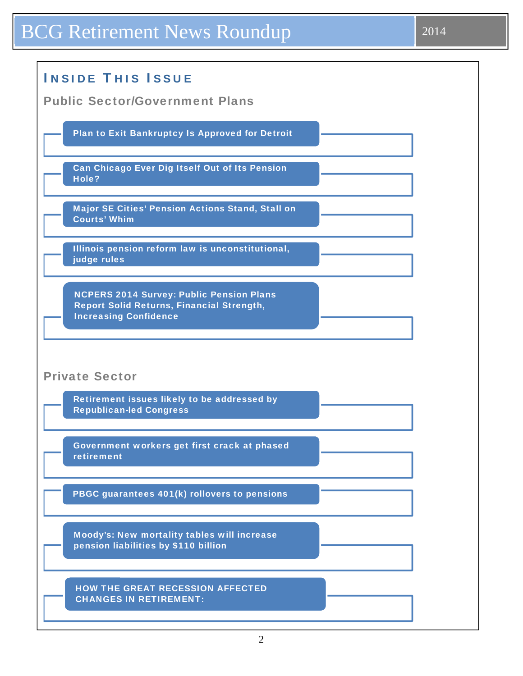# BCG Retirement News Roundup 2014

|              | <b>INSIDE THIS ISSUE</b>                                                                                                     |  |
|--------------|------------------------------------------------------------------------------------------------------------------------------|--|
|              | <b>Public Sector/Government Plans</b>                                                                                        |  |
|              | <b>Plan to Exit Bankruptcy Is Approved for Detroit</b>                                                                       |  |
| <b>Hole?</b> | <b>Can Chicago Ever Dig Itself Out of Its Pension</b>                                                                        |  |
|              | Major SE Cities' Pension Actions Stand, Stall on<br><b>Courts' Whim</b>                                                      |  |
|              | Illinois pension reform law is unconstitutional,<br>judge rules                                                              |  |
|              | <b>NCPERS 2014 Survey: Public Pension Plans</b><br>Report Solid Returns, Financial Strength,<br><b>Increasing Confidence</b> |  |
|              | <b>Private Sector</b>                                                                                                        |  |
|              | Retirement issues likely to be addressed by                                                                                  |  |
|              | <b>Republican-led Congress</b>                                                                                               |  |
|              | Government workers get first crack at phased<br>retirement                                                                   |  |
|              | PBGC guarantees 401(k) rollovers to pensions                                                                                 |  |
|              | Moody's: New mortality tables will increase<br>pension liabilities by \$110 billion                                          |  |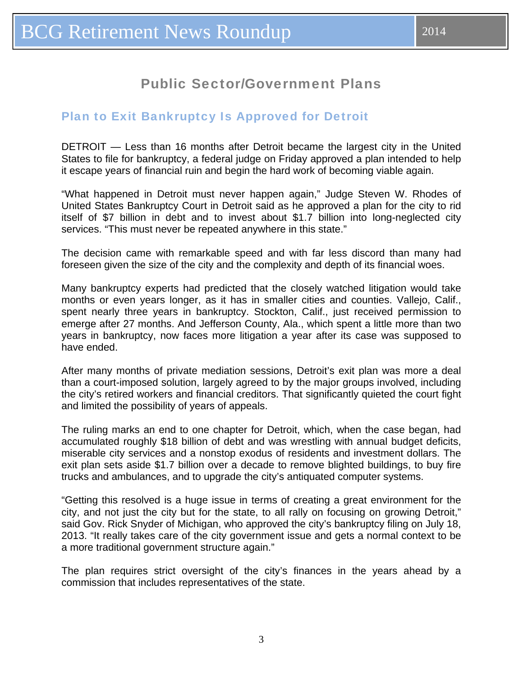## <span id="page-2-0"></span>Plan to Exit Bankruptcy Is Approved for Detroit

DETROIT — Less than 16 months after Detroit became the largest city in the United States to file for bankruptcy, a federal judge on Friday approved a plan intended to help it escape years of financial ruin and begin the hard work of becoming viable again.

"What happened in Detroit must never happen again," Judge Steven W. Rhodes of United States Bankruptcy Court in Detroit said as he approved a plan for the city to rid itself of \$7 billion in debt and to invest about \$1.7 billion into long-neglected city services. "This must never be repeated anywhere in this state."

The decision came with remarkable speed and with far less discord than many had foreseen given the size of the city and the complexity and depth of its financial woes.

Many bankruptcy experts had predicted that the closely watched litigation would take months or even years longer, as it has in smaller cities and counties. Vallejo, Calif., spent nearly three years in bankruptcy. Stockton, Calif., just received permission to emerge after 27 months. And Jefferson County, Ala., which spent a little more than two years in bankruptcy, now faces more litigation a year after its case was supposed to have ended.

After many months of private mediation sessions, Detroit's exit plan was more a deal than a court-imposed solution, largely agreed to by the major groups involved, including the city's retired workers and financial creditors. That significantly quieted the court fight and limited the possibility of years of appeals.

The ruling marks an end to one chapter for Detroit, which, when the case began, had accumulated roughly \$18 billion of debt and was wrestling with annual budget deficits, miserable city services and a nonstop exodus of residents and investment dollars. The exit plan sets aside \$1.7 billion over a decade to remove blighted buildings, to buy fire trucks and ambulances, and to upgrade the city's antiquated computer systems.

"Getting this resolved is a huge issue in terms of creating a great environment for the city, and not just the city but for the state, to all rally on focusing on growing Detroit," said Gov. Rick Snyder of Michigan, who approved the city's bankruptcy filing on July 18, 2013. "It really takes care of the city government issue and gets a normal context to be a more traditional government structure again."

The plan requires strict oversight of the city's finances in the years ahead by a commission that includes representatives of the state.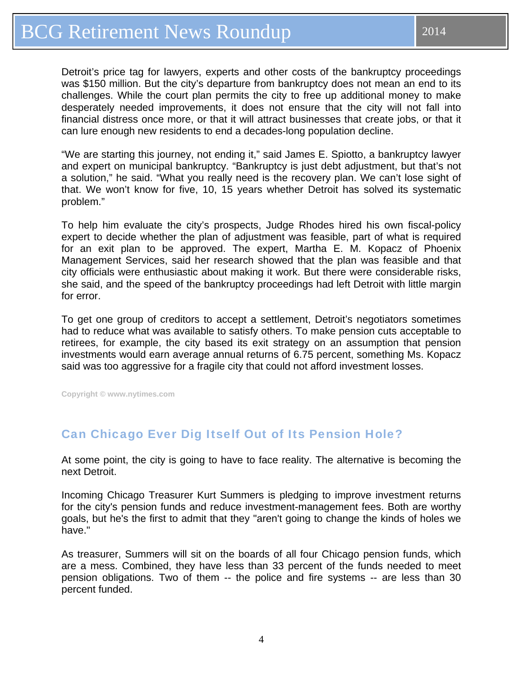<span id="page-3-0"></span>"We are starting this journey, not ending it," said James E. Spiotto, a bankruptcy lawyer and expert on municipal bankruptcy. "Bankruptcy is just debt adjustment, but that's not a solution," he said. "What you really need is the recovery plan. We can't lose sight of that. We won't know for five, 10, 15 years whether Detroit has solved its systematic problem."

To help him evaluate the city's prospects, Judge Rhodes hired his own fiscal-policy expert to decide whether the plan of adjustment was feasible, part of what is required for an exit plan to be approved. The expert, Martha E. M. Kopacz of Phoenix Management Services, said her research showed that the plan was feasible and that city officials were enthusiastic about making it work. But there were considerable risks, she said, and the speed of the bankruptcy proceedings had left Detroit with little margin for error.

To get one group of creditors to accept a settlement, Detroit's negotiators sometimes had to reduce what was available to satisfy others. To make pension cuts acceptable to retirees, for example, the city based its exit strategy on an assumption that pension investments would earn average annual returns of 6.75 percent, something Ms. Kopacz said was too aggressive for a fragile city that could not afford investment losses.

**Copyright © www.nytimes.com** 

### Can Chicago Ever Dig Itself Out of Its Pension Hole?

At some point, the city is going to have to face reality. The alternative is becoming the next Detroit.

Incoming Chicago Treasurer Kurt Summers is pledging to improve investment returns for the city's pension funds and reduce investment-management fees. Both are worthy goals, but he's the first to admit that they "aren't going to change the kinds of holes we have."

As treasurer, Summers will sit on the boards of all four Chicago pension funds, which are a mess. Combined, they have less than 33 percent of the funds needed to meet pension obligations. Two of them -- the police and fire systems -- are less than 30 percent funded.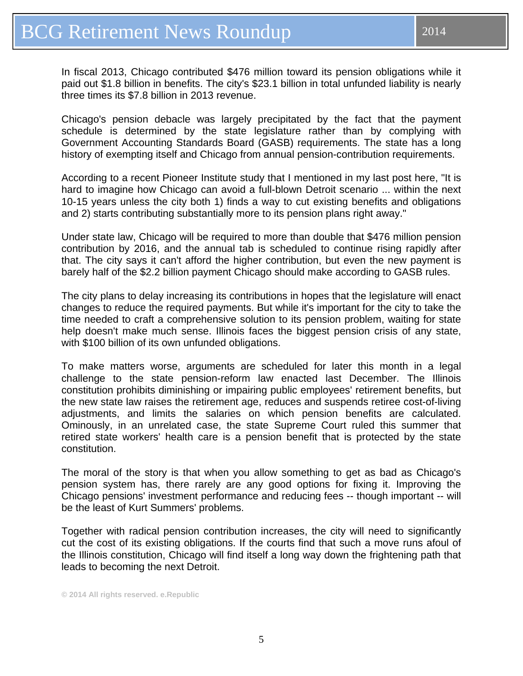In fiscal 2013, Chicago contributed \$476 million toward its pension obligations while it paid out \$1.8 billion in benefits. The city's \$23.1 billion in total unfunded liability is nearly three times its \$7.8 billion in 2013 revenue.

Chicago's pension debacle was largely precipitated by the fact that the payment schedule is determined by the state legislature rather than by complying with Government Accounting Standards Board (GASB) requirements. The state has a long history of exempting itself and Chicago from annual pension-contribution requirements.

According to a recent Pioneer Institute study that I mentioned in my last post here, "It is hard to imagine how Chicago can avoid a full-blown Detroit scenario ... within the next 10-15 years unless the city both 1) finds a way to cut existing benefits and obligations and 2) starts contributing substantially more to its pension plans right away."

Under state law, Chicago will be required to more than double that \$476 million pension contribution by 2016, and the annual tab is scheduled to continue rising rapidly after that. The city says it can't afford the higher contribution, but even the new payment is barely half of the \$2.2 billion payment Chicago should make according to GASB rules.

The city plans to delay increasing its contributions in hopes that the legislature will enact changes to reduce the required payments. But while it's important for the city to take the time needed to craft a comprehensive solution to its pension problem, waiting for state help doesn't make much sense. Illinois faces the biggest pension crisis of any state, with \$100 billion of its own unfunded obligations.

To make matters worse, arguments are scheduled for later this month in a legal challenge to the state pension-reform law enacted last December. The Illinois constitution prohibits diminishing or impairing public employees' retirement benefits, but the new state law raises the retirement age, reduces and suspends retiree cost-of-living adjustments, and limits the salaries on which pension benefits are calculated. Ominously, in an unrelated case, the state Supreme Court ruled this summer that retired state workers' health care is a pension benefit that is protected by the state constitution.

The moral of the story is that when you allow something to get as bad as Chicago's pension system has, there rarely are any good options for fixing it. Improving the Chicago pensions' investment performance and reducing fees -- though important -- will be the least of Kurt Summers' problems.

Together with radical pension contribution increases, the city will need to significantly cut the cost of its existing obligations. If the courts find that such a move runs afoul of the Illinois constitution, Chicago will find itself a long way down the frightening path that leads to becoming the next Detroit.

**© 2014 All rights reserved. e.Republic**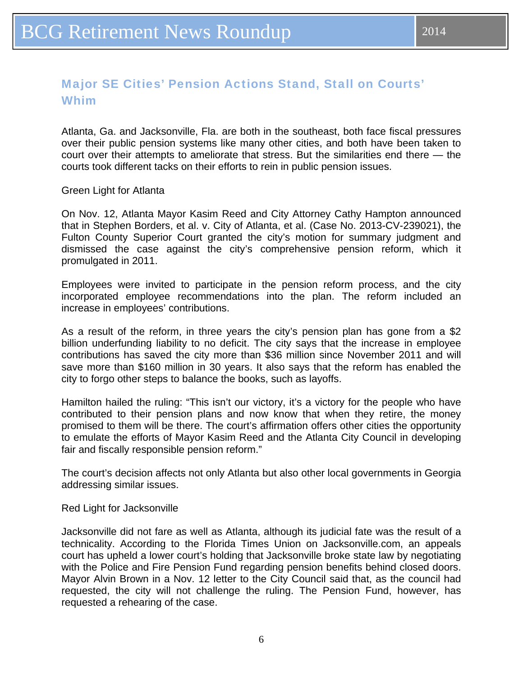## <span id="page-5-0"></span>Major SE Cities' Pension Actions Stand, Stall on Courts' Whim

Atlanta, Ga. and Jacksonville, Fla. are both in the southeast, both face fiscal pressures over their public pension systems like many other cities, and both have been taken to court over their attempts to ameliorate that stress. But the similarities end there — the courts took different tacks on their efforts to rein in public pension issues.

Green Light for Atlanta

On Nov. 12, Atlanta Mayor Kasim Reed and City Attorney Cathy Hampton announced that in Stephen Borders, et al. v. City of Atlanta, et al. (Case No. 2013-CV-239021), the Fulton County Superior Court granted the city's motion for summary judgment and dismissed the case against the city's comprehensive pension reform, which it promulgated in 2011.

Employees were invited to participate in the pension reform process, and the city incorporated employee recommendations into the plan. The reform included an increase in employees' contributions.

As a result of the reform, in three years the city's pension plan has gone from a \$2 billion underfunding liability to no deficit. The city says that the increase in employee contributions has saved the city more than \$36 million since November 2011 and will save more than \$160 million in 30 years. It also says that the reform has enabled the city to forgo other steps to balance the books, such as layoffs.

Hamilton hailed the ruling: "This isn't our victory, it's a victory for the people who have contributed to their pension plans and now know that when they retire, the money promised to them will be there. The court's affirmation offers other cities the opportunity to emulate the efforts of Mayor Kasim Reed and the Atlanta City Council in developing fair and fiscally responsible pension reform."

The court's decision affects not only Atlanta but also other local governments in Georgia addressing similar issues.

#### Red Light for Jacksonville

Jacksonville did not fare as well as Atlanta, although its judicial fate was the result of a technicality. According to the Florida Times Union on Jacksonville.com, an appeals court has upheld a lower court's holding that Jacksonville broke state law by negotiating with the Police and Fire Pension Fund regarding pension benefits behind closed doors. Mayor Alvin Brown in a Nov. 12 letter to the City Council said that, as the council had requested, the city will not challenge the ruling. The Pension Fund, however, has requested a rehearing of the case.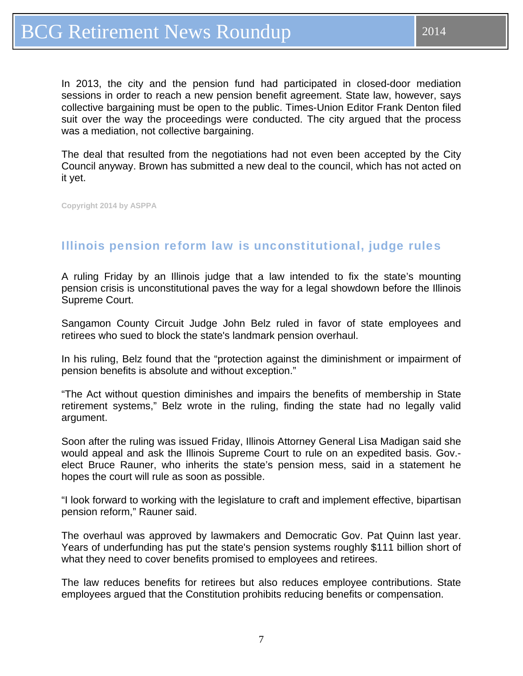<span id="page-6-0"></span>In 2013, the city and the pension fund had participated in closed-door mediation sessions in order to reach a new pension benefit agreement. State law, however, says collective bargaining must be open to the public. Times-Union Editor Frank Denton filed suit over the way the proceedings were conducted. The city argued that the process was a mediation, not collective bargaining.

The deal that resulted from the negotiations had not even been accepted by the City Council anyway. Brown has submitted a new deal to the council, which has not acted on it yet.

**Copyright 2014 by ASPPA** 

### Illinois pension reform law is unconstitutional, judge rules

A ruling Friday by an Illinois judge that a law intended to fix the state's mounting pension crisis is unconstitutional paves the way for a legal showdown before the Illinois Supreme Court.

Sangamon County Circuit Judge John Belz ruled in favor of state employees and retirees who sued to block the state's landmark pension overhaul.

In his ruling, Belz found that the "protection against the diminishment or impairment of pension benefits is absolute and without exception."

"The Act without question diminishes and impairs the benefits of membership in State retirement systems," Belz wrote in the ruling, finding the state had no legally valid argument.

Soon after the ruling was issued Friday, Illinois Attorney General Lisa Madigan said she would appeal and ask the Illinois Supreme Court to rule on an expedited basis. Gov. elect Bruce Rauner, who inherits the state's pension mess, said in a statement he hopes the court will rule as soon as possible.

"I look forward to working with the legislature to craft and implement effective, bipartisan pension reform," Rauner said.

The overhaul was approved by lawmakers and Democratic Gov. Pat Quinn last year. Years of underfunding has put the state's pension systems roughly \$111 billion short of what they need to cover benefits promised to employees and retirees.

The law reduces benefits for retirees but also reduces employee contributions. State employees argued that the Constitution prohibits reducing benefits or compensation.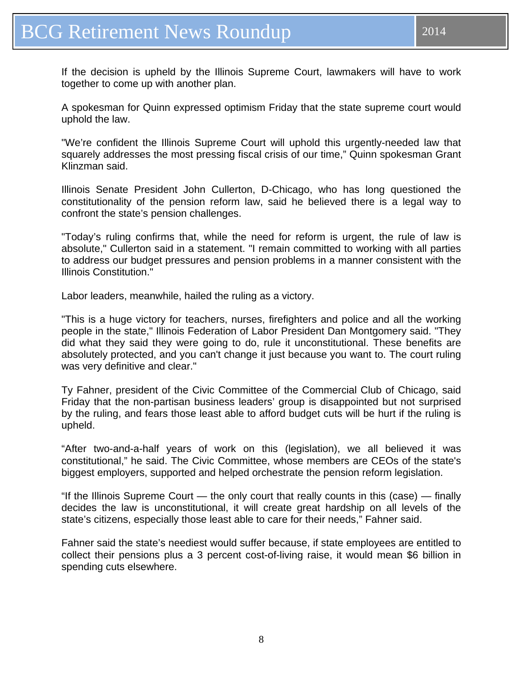If the decision is upheld by the Illinois Supreme Court, lawmakers will have to work together to come up with another plan.

A spokesman for Quinn expressed optimism Friday that the state supreme court would uphold the law.

"We're confident the Illinois Supreme Court will uphold this urgently-needed law that squarely addresses the most pressing fiscal crisis of our time," Quinn spokesman Grant Klinzman said.

Illinois Senate President John Cullerton, D-Chicago, who has long questioned the constitutionality of the pension reform law, said he believed there is a legal way to confront the state's pension challenges.

"Today's ruling confirms that, while the need for reform is urgent, the rule of law is absolute," Cullerton said in a statement. "I remain committed to working with all parties to address our budget pressures and pension problems in a manner consistent with the Illinois Constitution."

Labor leaders, meanwhile, hailed the ruling as a victory.

"This is a huge victory for teachers, nurses, firefighters and police and all the working people in the state," Illinois Federation of Labor President Dan Montgomery said. "They did what they said they were going to do, rule it unconstitutional. These benefits are absolutely protected, and you can't change it just because you want to. The court ruling was very definitive and clear."

Ty Fahner, president of the Civic Committee of the Commercial Club of Chicago, said Friday that the non-partisan business leaders' group is disappointed but not surprised by the ruling, and fears those least able to afford budget cuts will be hurt if the ruling is upheld.

"After two-and-a-half years of work on this (legislation), we all believed it was constitutional," he said. The Civic Committee, whose members are CEOs of the state's biggest employers, supported and helped orchestrate the pension reform legislation.

"If the Illinois Supreme Court — the only court that really counts in this (case) — finally decides the law is unconstitutional, it will create great hardship on all levels of the state's citizens, especially those least able to care for their needs," Fahner said.

Fahner said the state's neediest would suffer because, if state employees are entitled to collect their pensions plus a 3 percent cost-of-living raise, it would mean \$6 billion in spending cuts elsewhere.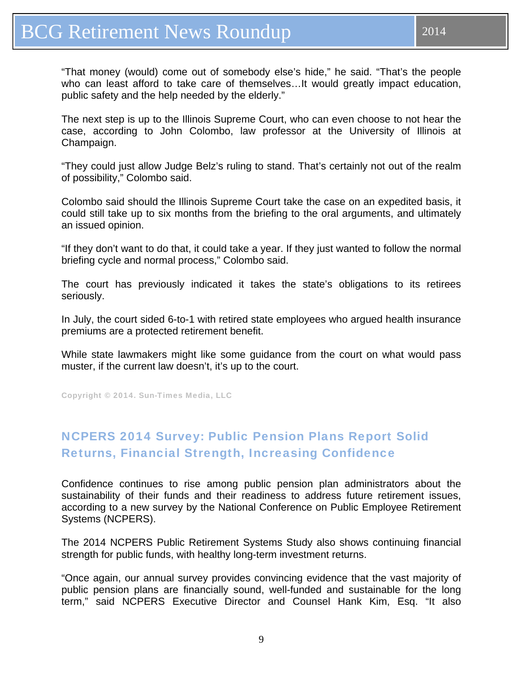<span id="page-8-0"></span>"That money (would) come out of somebody else's hide," he said. "That's the people who can least afford to take care of themselves…It would greatly impact education, public safety and the help needed by the elderly."

The next step is up to the Illinois Supreme Court, who can even choose to not hear the case, according to John Colombo, law professor at the University of Illinois at Champaign.

"They could just allow Judge Belz's ruling to stand. That's certainly not out of the realm of possibility," Colombo said.

Colombo said should the Illinois Supreme Court take the case on an expedited basis, it could still take up to six months from the briefing to the oral arguments, and ultimately an issued opinion.

"If they don't want to do that, it could take a year. If they just wanted to follow the normal briefing cycle and normal process," Colombo said.

The court has previously indicated it takes the state's obligations to its retirees seriously.

In July, the court sided 6-to-1 with retired state employees who argued health insurance premiums are a protected retirement benefit.

While state lawmakers might like some guidance from the court on what would pass muster, if the current law doesn't, it's up to the court.

Copyright © 2014. Sun-Times Media, LLC

# NCPERS 2014 Survey: Public Pension Plans Report Solid Returns, Financial Strength, Increasing Confidence

Confidence continues to rise among public pension plan administrators about the sustainability of their funds and their readiness to address future retirement issues, according to a new survey by the National Conference on Public Employee Retirement Systems (NCPERS).

The 2014 NCPERS Public Retirement Systems Study also shows continuing financial strength for public funds, with healthy long-term investment returns.

"Once again, our annual survey provides convincing evidence that the vast majority of public pension plans are financially sound, well-funded and sustainable for the long term," said NCPERS Executive Director and Counsel Hank Kim, Esq. "It also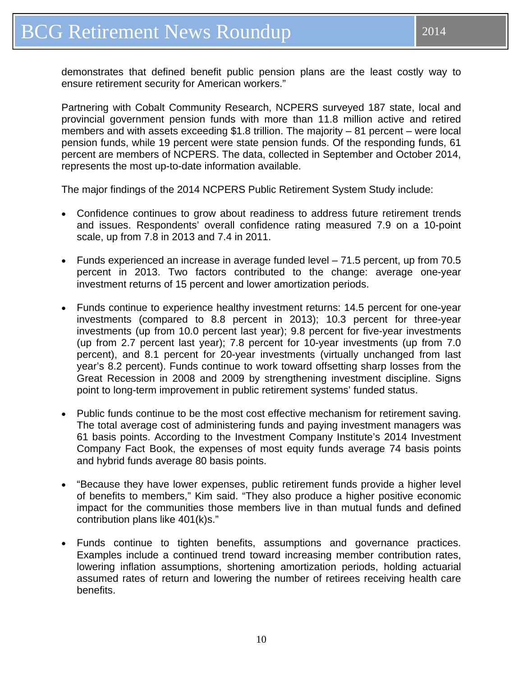demonstrates that defined benefit public pension plans are the least costly way to ensure retirement security for American workers."

Partnering with Cobalt Community Research, NCPERS surveyed 187 state, local and provincial government pension funds with more than 11.8 million active and retired members and with assets exceeding \$1.8 trillion. The majority – 81 percent – were local pension funds, while 19 percent were state pension funds. Of the responding funds, 61 percent are members of NCPERS. The data, collected in September and October 2014, represents the most up-to-date information available.

The major findings of the 2014 NCPERS Public Retirement System Study include:

- Confidence continues to grow about readiness to address future retirement trends and issues. Respondents' overall confidence rating measured 7.9 on a 10-point scale, up from 7.8 in 2013 and 7.4 in 2011.
- Funds experienced an increase in average funded level 71.5 percent, up from 70.5 percent in 2013. Two factors contributed to the change: average one-year investment returns of 15 percent and lower amortization periods.
- Funds continue to experience healthy investment returns: 14.5 percent for one-year investments (compared to 8.8 percent in 2013); 10.3 percent for three-year investments (up from 10.0 percent last year); 9.8 percent for five-year investments (up from 2.7 percent last year); 7.8 percent for 10-year investments (up from 7.0 percent), and 8.1 percent for 20-year investments (virtually unchanged from last year's 8.2 percent). Funds continue to work toward offsetting sharp losses from the Great Recession in 2008 and 2009 by strengthening investment discipline. Signs point to long-term improvement in public retirement systems' funded status.
- Public funds continue to be the most cost effective mechanism for retirement saving. The total average cost of administering funds and paying investment managers was 61 basis points. According to the Investment Company Institute's 2014 Investment Company Fact Book, the expenses of most equity funds average 74 basis points and hybrid funds average 80 basis points.
- "Because they have lower expenses, public retirement funds provide a higher level of benefits to members," Kim said. "They also produce a higher positive economic impact for the communities those members live in than mutual funds and defined contribution plans like 401(k)s."
- Funds continue to tighten benefits, assumptions and governance practices. Examples include a continued trend toward increasing member contribution rates, lowering inflation assumptions, shortening amortization periods, holding actuarial assumed rates of return and lowering the number of retirees receiving health care benefits.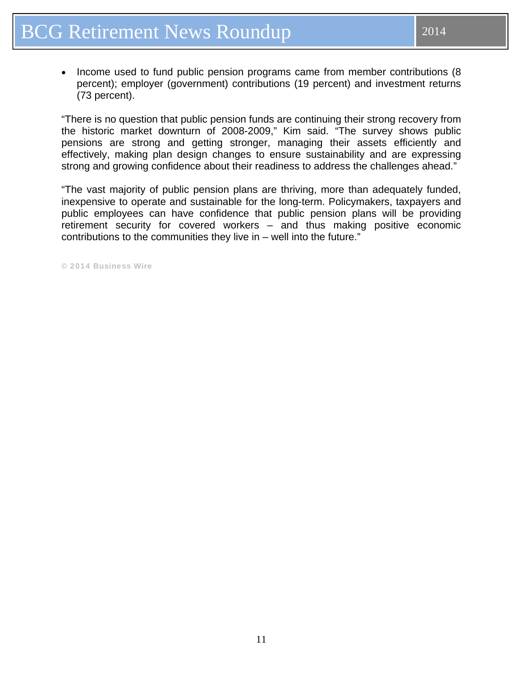"There is no question that public pension funds are continuing their strong recovery from the historic market downturn of 2008-2009," Kim said. "The survey shows public pensions are strong and getting stronger, managing their assets efficiently and effectively, making plan design changes to ensure sustainability and are expressing strong and growing confidence about their readiness to address the challenges ahead."

"The vast majority of public pension plans are thriving, more than adequately funded, inexpensive to operate and sustainable for the long-term. Policymakers, taxpayers and public employees can have confidence that public pension plans will be providing retirement security for covered workers – and thus making positive economic contributions to the communities they live in – well into the future."

© 2014 Business Wire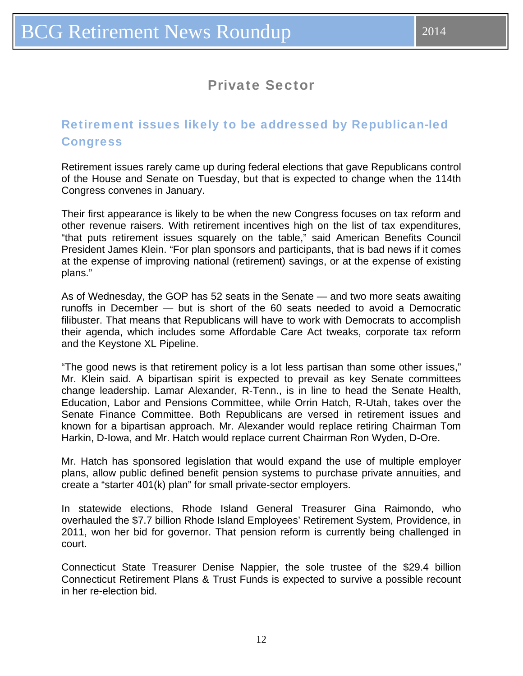# Private Sector

# <span id="page-11-0"></span>Retirement issues likely to be addressed by Republican-led **Congress**

Retirement issues rarely came up during federal elections that gave Republicans control of the House and Senate on Tuesday, but that is expected to change when the 114th Congress convenes in January.

Their first appearance is likely to be when the new Congress focuses on tax reform and other revenue raisers. With retirement incentives high on the list of tax expenditures, "that puts retirement issues squarely on the table," said American Benefits Council President James Klein. "For plan sponsors and participants, that is bad news if it comes at the expense of improving national (retirement) savings, or at the expense of existing plans."

As of Wednesday, the GOP has 52 seats in the Senate — and two more seats awaiting runoffs in December — but is short of the 60 seats needed to avoid a Democratic filibuster. That means that Republicans will have to work with Democrats to accomplish their agenda, which includes some Affordable Care Act tweaks, corporate tax reform and the Keystone XL Pipeline.

"The good news is that retirement policy is a lot less partisan than some other issues," Mr. Klein said. A bipartisan spirit is expected to prevail as key Senate committees change leadership. Lamar Alexander, R-Tenn., is in line to head the Senate Health, Education, Labor and Pensions Committee, while Orrin Hatch, R-Utah, takes over the Senate Finance Committee. Both Republicans are versed in retirement issues and known for a bipartisan approach. Mr. Alexander would replace retiring Chairman Tom Harkin, D-Iowa, and Mr. Hatch would replace current Chairman Ron Wyden, D-Ore.

Mr. Hatch has sponsored legislation that would expand the use of multiple employer plans, allow public defined benefit pension systems to purchase private annuities, and create a "starter 401(k) plan" for small private-sector employers.

In statewide elections, Rhode Island General Treasurer Gina Raimondo, who overhauled the \$7.7 billion Rhode Island Employees' Retirement System, Providence, in 2011, won her bid for governor. That pension reform is currently being challenged in court.

Connecticut State Treasurer Denise Nappier, the sole trustee of the \$29.4 billion Connecticut Retirement Plans & Trust Funds is expected to survive a possible recount in her re-election bid.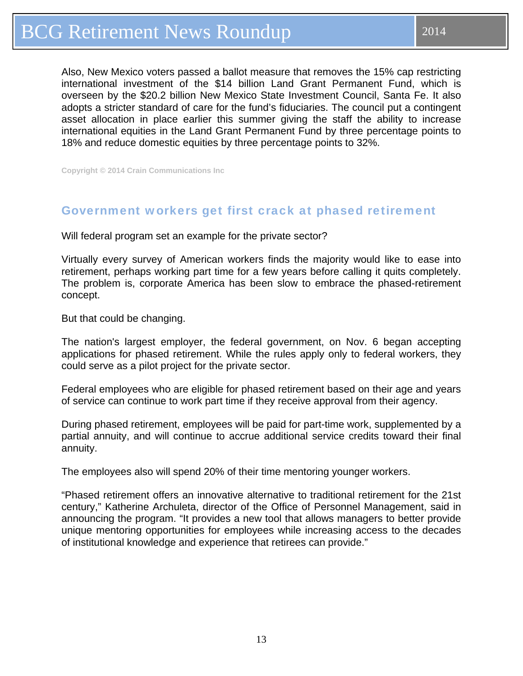<span id="page-12-0"></span>Also, New Mexico voters passed a ballot measure that removes the 15% cap restricting international investment of the \$14 billion Land Grant Permanent Fund, which is overseen by the \$20.2 billion New Mexico State Investment Council, Santa Fe. It also adopts a stricter standard of care for the fund's fiduciaries. The council put a contingent asset allocation in place earlier this summer giving the staff the ability to increase international equities in the Land Grant Permanent Fund by three percentage points to 18% and reduce domestic equities by three percentage points to 32%.

**Copyright © 2014 Crain Communications Inc** 

### Government workers get first crack at phased retirement

Will federal program set an example for the private sector?

Virtually every survey of American workers finds the majority would like to ease into retirement, perhaps working part time for a few years before calling it quits completely. The problem is, corporate America has been slow to embrace the phased-retirement concept.

But that could be changing.

The nation's largest employer, the federal government, on Nov. 6 began accepting applications for phased retirement. While the rules apply only to federal workers, they could serve as a pilot project for the private sector.

Federal employees who are eligible for phased retirement based on their age and years of service can continue to work part time if they receive approval from their agency.

During phased retirement, employees will be paid for part-time work, supplemented by a partial annuity, and will continue to accrue additional service credits toward their final annuity.

The employees also will spend 20% of their time mentoring younger workers.

"Phased retirement offers an innovative alternative to traditional retirement for the 21st century," Katherine Archuleta, director of the Office of Personnel Management, said in announcing the program. "It provides a new tool that allows managers to better provide unique mentoring opportunities for employees while increasing access to the decades of institutional knowledge and experience that retirees can provide."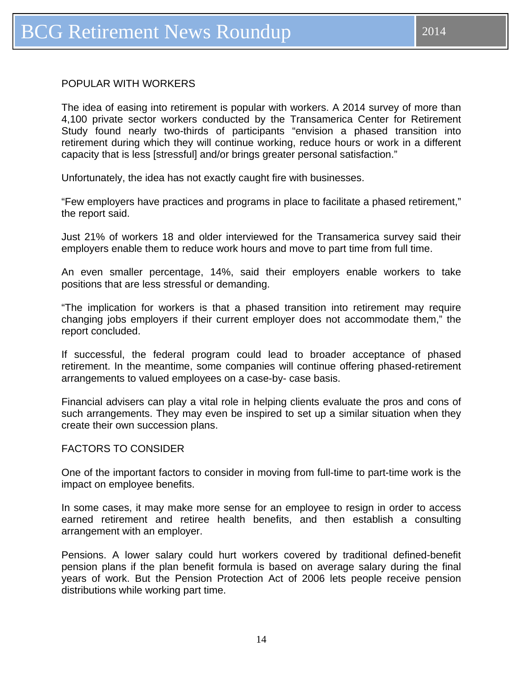#### POPULAR WITH WORKERS

The idea of easing into retirement is popular with workers. A 2014 survey of more than 4,100 private sector workers conducted by the Transamerica Center for Retirement Study found nearly two-thirds of participants "envision a phased transition into retirement during which they will continue working, reduce hours or work in a different capacity that is less [stressful] and/or brings greater personal satisfaction."

Unfortunately, the idea has not exactly caught fire with businesses.

"Few employers have practices and programs in place to facilitate a phased retirement," the report said.

Just 21% of workers 18 and older interviewed for the Transamerica survey said their employers enable them to reduce work hours and move to part time from full time.

An even smaller percentage, 14%, said their employers enable workers to take positions that are less stressful or demanding.

"The implication for workers is that a phased transition into retirement may require changing jobs employers if their current employer does not accommodate them," the report concluded.

If successful, the federal program could lead to broader acceptance of phased retirement. In the meantime, some companies will continue offering phased-retirement arrangements to valued employees on a case-by- case basis.

Financial advisers can play a vital role in helping clients evaluate the pros and cons of such arrangements. They may even be inspired to set up a similar situation when they create their own succession plans.

#### FACTORS TO CONSIDER

One of the important factors to consider in moving from full-time to part-time work is the impact on employee benefits.

In some cases, it may make more sense for an employee to resign in order to access earned retirement and retiree health benefits, and then establish a consulting arrangement with an employer.

Pensions. A lower salary could hurt workers covered by traditional defined-benefit pension plans if the plan benefit formula is based on average salary during the final years of work. But the Pension Protection Act of 2006 lets people receive pension distributions while working part time.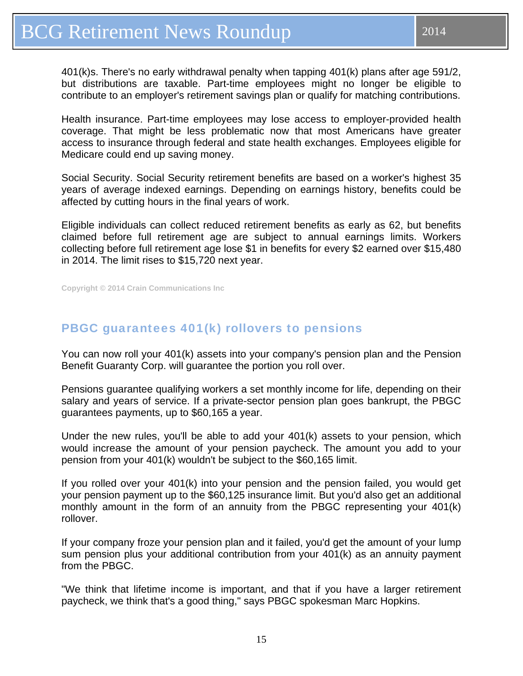<span id="page-14-0"></span>401(k)s. There's no early withdrawal penalty when tapping 401(k) plans after age 591/2, but distributions are taxable. Part-time employees might no longer be eligible to contribute to an employer's retirement savings plan or qualify for matching contributions.

Health insurance. Part-time employees may lose access to employer-provided health coverage. That might be less problematic now that most Americans have greater access to insurance through federal and state health exchanges. Employees eligible for Medicare could end up saving money.

Social Security. Social Security retirement benefits are based on a worker's highest 35 years of average indexed earnings. Depending on earnings history, benefits could be affected by cutting hours in the final years of work.

Eligible individuals can collect reduced retirement benefits as early as 62, but benefits claimed before full retirement age are subject to annual earnings limits. Workers collecting before full retirement age lose \$1 in benefits for every \$2 earned over \$15,480 in 2014. The limit rises to \$15,720 next year.

**Copyright © 2014 Crain Communications Inc** 

## PBGC guarantees 401(k) rollovers to pensions

You can now roll your 401(k) assets into your company's pension plan and the Pension Benefit Guaranty Corp. will guarantee the portion you roll over.

Pensions guarantee qualifying workers a set monthly income for life, depending on their salary and years of service. If a private-sector pension plan goes bankrupt, the PBGC guarantees payments, up to \$60,165 a year.

Under the new rules, you'll be able to add your 401(k) assets to your pension, which would increase the amount of your pension paycheck. The amount you add to your pension from your 401(k) wouldn't be subject to the \$60,165 limit.

If you rolled over your 401(k) into your pension and the pension failed, you would get your pension payment up to the \$60,125 insurance limit. But you'd also get an additional monthly amount in the form of an annuity from the PBGC representing your 401(k) rollover.

If your company froze your pension plan and it failed, you'd get the amount of your lump sum pension plus your additional contribution from your 401(k) as an annuity payment from the PBGC.

"We think that lifetime income is important, and that if you have a larger retirement paycheck, we think that's a good thing," says PBGC spokesman Marc Hopkins.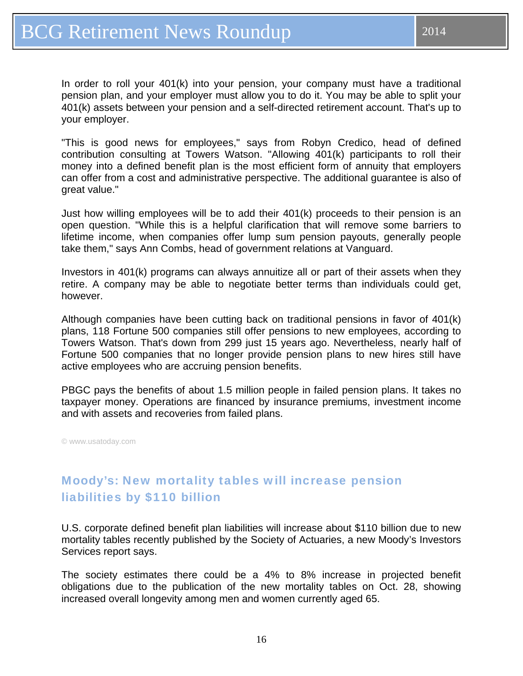<span id="page-15-0"></span>In order to roll your 401(k) into your pension, your company must have a traditional pension plan, and your employer must allow you to do it. You may be able to split your 401(k) assets between your pension and a self-directed retirement account. That's up to your employer.

"This is good news for employees," says from Robyn Credico, head of defined contribution consulting at Towers Watson. "Allowing 401(k) participants to roll their money into a defined benefit plan is the most efficient form of annuity that employers can offer from a cost and administrative perspective. The additional guarantee is also of great value."

Just how willing employees will be to add their 401(k) proceeds to their pension is an open question. "While this is a helpful clarification that will remove some barriers to lifetime income, when companies offer lump sum pension payouts, generally people take them," says Ann Combs, head of government relations at Vanguard.

Investors in 401(k) programs can always annuitize all or part of their assets when they retire. A company may be able to negotiate better terms than individuals could get, however.

Although companies have been cutting back on traditional pensions in favor of 401(k) plans, 118 Fortune 500 companies still offer pensions to new employees, according to Towers Watson. That's down from 299 just 15 years ago. Nevertheless, nearly half of Fortune 500 companies that no longer provide pension plans to new hires still have active employees who are accruing pension benefits.

PBGC pays the benefits of about 1.5 million people in failed pension plans. It takes no taxpayer money. Operations are financed by insurance premiums, investment income and with assets and recoveries from failed plans.

© www.usatoday.com

## Moody's: New mortality tables will increase pension liabilities by \$110 billion

U.S. corporate defined benefit plan liabilities will increase about \$110 billion due to new mortality tables recently published by the Society of Actuaries, a new Moody's Investors Services report says.

The society estimates there could be a 4% to 8% increase in projected benefit obligations due to the publication of the new mortality tables on Oct. 28, showing increased overall longevity among men and women currently aged 65.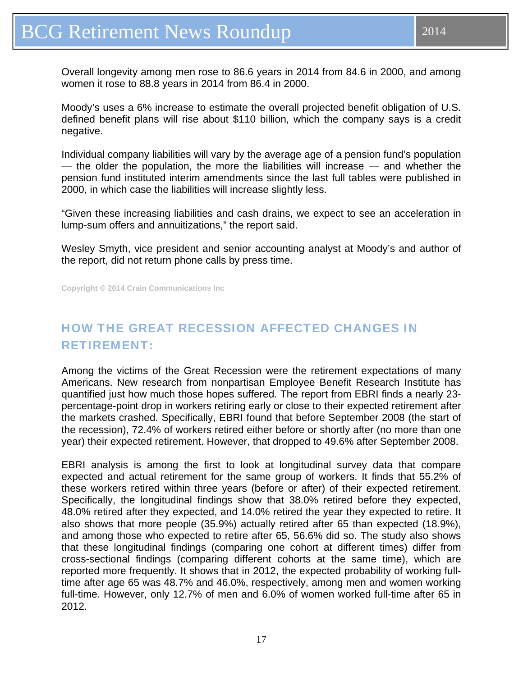<span id="page-16-0"></span>Overall longevity among men rose to 86.6 years in 2014 from 84.6 in 2000, and among women it rose to 88.8 years in 2014 from 86.4 in 2000.

Moody's uses a 6% increase to estimate the overall projected benefit obligation of U.S. defined benefit plans will rise about \$110 billion, which the company says is a credit negative.

Individual company liabilities will vary by the average age of a pension fund's population — the older the population, the more the liabilities will increase — and whether the pension fund instituted interim amendments since the last full tables were published in 2000, in which case the liabilities will increase slightly less.

"Given these increasing liabilities and cash drains, we expect to see an acceleration in lump-sum offers and annuitizations," the report said.

Wesley Smyth, vice president and senior accounting analyst at Moody's and author of the report, did not return phone calls by press time.

**Copyright © 2014 Crain Communications Inc**

# HOW THE GREAT RECESSION AFFECTED CHANGES IN RETIREMENT:

Among the victims of the Great Recession were the retirement expectations of many Americans. New research from nonpartisan Employee Benefit Research Institute has quantified just how much those hopes suffered. The report from EBRI finds a nearly 23 percentage-point drop in workers retiring early or close to their expected retirement after the markets crashed. Specifically, EBRI found that before September 2008 (the start of the recession), 72.4% of workers retired either before or shortly after (no more than one year) their expected retirement. However, that dropped to 49.6% after September 2008.

EBRI analysis is among the first to look at longitudinal survey data that compare expected and actual retirement for the same group of workers. It finds that 55.2% of these workers retired within three years (before or after) of their expected retirement. Specifically, the longitudinal findings show that 38.0% retired before they expected, 48.0% retired after they expected, and 14.0% retired the year they expected to retire. It also shows that more people (35.9%) actually retired after 65 than expected (18.9%), and among those who expected to retire after 65, 56.6% did so. The study also shows that these longitudinal findings (comparing one cohort at different times) differ from cross-sectional findings (comparing different cohorts at the same time), which are reported more frequently. It shows that in 2012, the expected probability of working fulltime after age 65 was 48.7% and 46.0%, respectively, among men and women working full-time. However, only 12.7% of men and 6.0% of women worked full-time after 65 in 2012.